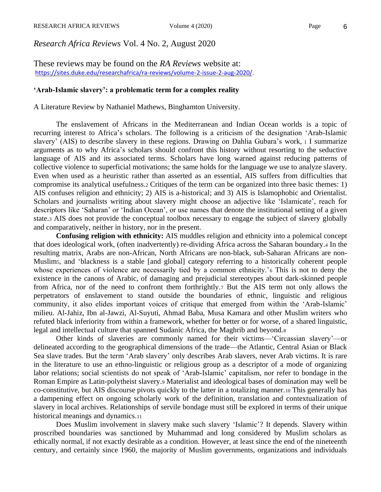*Research Africa Reviews* Vol. 4 No. 2, August 2020

These reviews may be found on the *RA Reviews* website at: [https://sites.duke.edu/researchafrica/ra-reviews/volume-2-issue-2-aug-2020/.](https://sites.duke.edu/researchafrica/ra-reviews/volume-2-issue-2-aug-2020/)

## **'Arab-Islamic slavery': a problematic term for a complex reality**

A Literature Review by Nathaniel Mathews, Binghamton University.

The enslavement of Africans in the Mediterranean and Indian Ocean worlds is a topic of recurring interest to Africa's scholars. The following is a criticism of the designation 'Arab-Islamic slavery' (AIS) to describe slavery in these regions. Drawing on Dahlia Gubara's work, <sup>1</sup> I summarize arguments as to why Africa's scholars should confront this history without resorting to the seductive language of AIS and its associated terms. Scholars have long warned against reducing patterns of collective violence to superficial motivations; the same holds for the language we use to analyze slavery. Even when used as a heuristic rather than asserted as an essential, AIS suffers from difficulties that compromise its analytical usefulness.<sup>2</sup> Critiques of the term can be organized into three basic themes: 1) AIS confuses religion and ethnicity; 2) AIS is a-historical; and 3) AIS is Islamophobic and Orientalist. Scholars and journalists writing about slavery might choose an adjective like 'Islamicate', reach for descriptors like 'Saharan' or 'Indian Ocean', or use names that denote the institutional setting of a given state.<sup>3</sup> AIS does not provide the conceptual toolbox necessary to engage the subject of slavery globally and comparatively, neither in history, nor in the present.

**Confusing religion with ethnicity:** AIS muddles religion and ethnicity into a polemical concept that does ideological work, (often inadvertently) re-dividing Africa across the Saharan boundary.<sup>4</sup> In the resulting matrix, Arabs are non-African, North Africans are non-black, sub-Saharan Africans are non-Muslim5, and 'blackness is a stable [and global] category referring to a historically coherent people whose experiences of violence are necessarily tied by a common ethnicity.'<sup>6</sup> This is not to deny the existence in the canons of Arabic, of damaging and prejudicial stereotypes about dark-skinned people from Africa, nor of the need to confront them forthrightly.<sup>7</sup> But the AIS term not only allows the perpetrators of enslavement to stand outside the boundaries of ethnic, linguistic and religious community, it also elides important voices of critique that emerged from within the 'Arab-Islamic' milieu. Al-Jahiz, Ibn al-Jawzi, Al-Suyuti, Ahmad Baba, Musa Kamara and other Muslim writers who refuted black inferiority from within a framework, whether for better or for worse, of a shared linguistic, legal and intellectual culture that spanned Sudanic Africa, the Maghrib and beyond.<sup>8</sup>

Other kinds of slaveries are commonly named for their victims—'Circassian slavery'—or delineated according to the geographical dimensions of the trade—the Atlantic, Central Asian or Black Sea slave trades. But the term 'Arab slavery' only describes Arab slavers, never Arab victims. It is rare in the literature to use an ethno-linguistic or religious group as a descriptor of a mode of organizing labor relations; social scientists do not speak of 'Arab-Islamic' capitalism, nor refer to bondage in the Roman Empire as Latin-polytheist slavery.<sup>9</sup> Materialist and ideological bases of domination may well be co-constitutive, but AIS discourse pivots quickly to the latter in a totalizing manner.<sup>10</sup> This generally has a dampening effect on ongoing scholarly work of the definition, translation and contextualization of slavery in local archives. Relationships of servile bondage must still be explored in terms of their unique historical meanings and dynamics.<sup>11</sup>

Does Muslim involvement in slavery make such slavery 'Islamic'? It depends. Slavery within proscribed boundaries was sanctioned by Muhammad and long considered by Muslim scholars as ethically normal, if not exactly desirable as a condition. However, at least since the end of the nineteenth century, and certainly since 1960, the majority of Muslim governments, organizations and individuals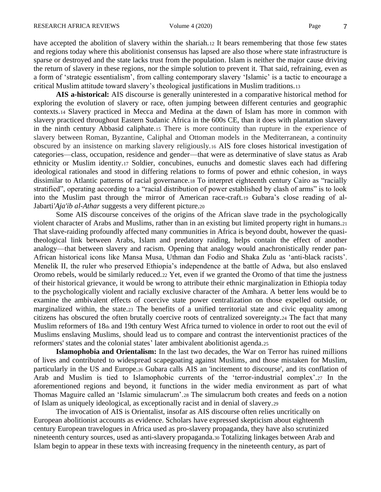have accepted the abolition of slavery within the shariah.12 It bears remembering that those few states and regions today where this abolitionist consensus has lapsed are also those where state infrastructure is sparse or destroyed and the state lacks trust from the population. Islam is neither the major cause driving the return of slavery in these regions, nor the simple solution to prevent it. That said, refraining, even as a form of 'strategic essentialism', from calling contemporary slavery 'Islamic' is a tactic to encourage a critical Muslim attitude toward slavery's theological justifications in Muslim traditions.<sup>13</sup>

**AIS a-historical:** AIS discourse is generally uninterested in a comparative historical method for exploring the evolution of slavery or race, often jumping between different centuries and geographic contexts.<sup>14</sup> Slavery practiced in Mecca and Medina at the dawn of Islam has more in common with slavery practiced throughout Eastern Sudanic Africa in the 600s CE, than it does with plantation slavery in the ninth century Abbasid caliphate.<sup>15</sup> There is more continuity than rupture in the experience of slavery between Roman, Byzantine, Caliphal and Ottoman models in the Mediterranean, a continuity obscured by an insistence on marking slavery religiously.<sup>16</sup> AIS fore closes historical investigation of categories—class, occupation, residence and gender—that were as determinative of slave status as Arab ethnicity or Muslim identity.<sup>17</sup> Soldier, concubines, eunuchs and domestic slaves each had differing ideological rationales and stood in differing relations to forms of power and ethnic cohesion, in ways dissimilar to Atlantic patterns of racial governance.<sup>18</sup> To interpret eighteenth century Cairo as "racially stratified", operating according to a "racial distribution of power established by clash of arms" is to look into the Muslim past through the mirror of American race-craft.<sup>19</sup> Gubara's close reading of al-Jabarti*'Aja'ib al-Athar* suggests a very different picture.<sup>20</sup>

Some AIS discourse conceives of the origins of the African slave trade in the psychologically violent character of Arabs and Muslims, rather than in an existing but limited property right in humans.<sup>21</sup> That slave-raiding profoundly affected many communities in Africa is beyond doubt, however the quasitheological link between Arabs, Islam and predatory raiding, helps contain the effect of another analogy—that between slavery and racism. Opening that analogy would anachronistically render pan-African historical icons like Mansa Musa, Uthman dan Fodio and Shaka Zulu as 'anti-black racists'. Menelik II, the ruler who preserved Ethiopia's independence at the battle of Adwa, but also enslaved Oromo rebels, would be similarly reduced.<sup>22</sup> Yet, even if we granted the Oromo of that time the justness of their historical grievance, it would be wrong to attribute their ethnic marginalization in Ethiopia today to the psychologically violent and racially exclusive character of the Amhara. A better lens would be to examine the ambivalent effects of coercive state power centralization on those expelled outside, or marginalized within, the state.<sup>23</sup> The benefits of a unified territorial state and civic equality among citizens has obscured the often brutally coercive roots of centralized sovereignty.<sup>24</sup> The fact that many Muslim reformers of 18th and 19th century West Africa turned to violence in order to root out the evil of Muslims enslaving Muslims, should lead us to compare and contrast the interventionist practices of the reformers' states and the colonial states' later ambivalent abolitionist agenda.<sup>25</sup>

**Islamophobia and Orientalism:** In the last two decades, the War on Terror has ruined millions of lives and contributed to widespread scapegoating against Muslims, and those mistaken for Muslim, particularly in the US and Europe.<sup>26</sup> Gubara calls AIS an 'incitement to discourse', and its conflation of Arab and Muslim is tied to Islamophobic currents of the 'terror-industrial complex'.<sup>27</sup> In the aforementioned regions and beyond, it functions in the wider media environment as part of what Thomas Maguire called an 'Islamic simulacrum'.<sup>28</sup> The simulacrum both creates and feeds on a notion of Islam as uniquely ideological, as exceptionally racist and in denial of slavery.<sup>29</sup>

The invocation of AIS is Orientalist, insofar as AIS discourse often relies uncritically on European abolitionist accounts as evidence. Scholars have expressed skepticism about eighteenth century European travelogues in Africa used as pro-slavery propaganda, they have also scrutinized nineteenth century sources, used as anti-slavery propaganda.<sup>30</sup> Totalizing linkages between Arab and Islam begin to appear in these texts with increasing frequency in the nineteenth century, as part of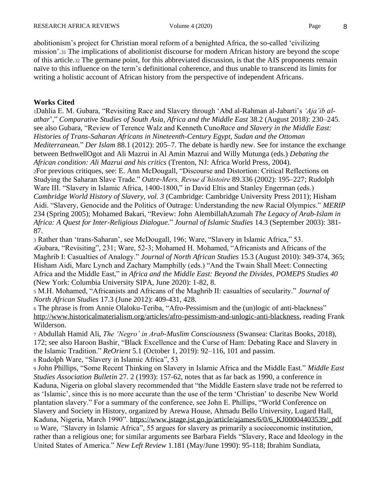abolitionism's project for Christian moral reform of a benighted Africa, the so-called 'civilizing mission'.<sup>31</sup> The implications of abolitionist discourse for modern African history are beyond the scope of this article.<sup>32</sup> The germane point, for this abbreviated discussion, is that the AIS proponents remain naïve to this influence on the term's definitional coherence, and thus unable to transcend its limits for writing a holistic account of African history from the perspective of independent Africans.

## **Works Cited**

<sup>1</sup>Dahlia E. M. Gubara, "Revisiting Race and Slavery through 'Abd al-Rahman al-Jabarti's *'Aja'ib alathar*'," *Comparative Studies of South Asia, Africa and the Middle East* 38.2 (August 2018): 230–245. see also Gubara, "Review of Terence Walz and Kenneth Cuno*Race and Slavery in the Middle East: Histories of Trans-Saharan Africans in Nineteenth-Century Egypt, Sudan and the Ottoman Mediterranean.*" *Der Islam* 88.1 (2012): 205–7. The debate is hardly new. See for instance the exchange between BethwellOgot and Ali Mazrui in Al Amin Mazrui and Willy Mutunga (eds.) *Debating the African condition: Ali Mazrui and his critics* (Trenton, NJ: Africa World Press, 2004). <sup>2</sup>For previous critiques, see: E. Ann McDougall, "Discourse and Distortion: Critical Reflections on Studying the Saharan Slave Trade." *Outre-Mers. Revue d'histoire* 89.336 (2002): 195–227; Rudolph Ware III. "Slavery in Islamic Africa, 1400-1800," in David Eltis and Stanley Engerman (eds.) *Cambridge World History of Slavery, vol. 3* (Cambridge: Cambridge University Press 2011); Hisham Aidi. "Slavery, Genocide and the Politics of Outrage: Understanding the new Racial Olympics." *MERIP* 234 (Spring 2005); Mohamed Bakari, "Review: John AlembillahAzumah *The Legacy of Arab-Islam in Africa: A Quest for Inter-Religious Dialogue.*" *Journal of Islamic Studies* 14.3 (September 2003): 381- 87.

<sup>3</sup> Rather than 'trans-Saharan', see McDougall, 196; Ware, "Slavery in Islamic Africa," 53. <sup>4</sup>Gubara, "Revisiting", 231; Ware, 52-3; Mohamed H. Mohamed, "Africanists and Africans of the Maghrib I: Casualties of Analogy." *Journal of North African Studies* 15.3 (August 2010): 349-374, 365; Hisham Aidi, Marc Lynch and Zachary Mamphilly (eds.) "And the Twain Shall Meet: Connecting Africa and the Middle East," in *Africa and the Middle East: Beyond the Divides, POMEPS Studies 40*  (New York: Columbia University SIPA, June 2020): 1-82, 8.

<sup>5</sup> M.H. Mohamed, "Africanists and Africans of the Maghrib II: casualties of secularity." *Journal of North African Studies* 17.3 (June 2012): 409-431, 428.

<sup>6</sup> The phrase is from Annie Olaloku-Teriba, "Afro-Pessimism and the (un)logic of anti-blackness" [http://www.historicalmaterialism.org/articles/afro-pessimism-and-unlogic-anti-blackness,](http://www.historicalmaterialism.org/articles/afro-pessimism-and-unlogic-anti-blackness) reading Frank Wilderson.

<sup>7</sup> Abdullah Hamid Ali, *The 'Negro' in Arab-Muslim Consciousness* (Swansea: Claritas Books, 2018), 172; see also Haroon Bashir, "Black Excellence and the Curse of Ham: Debating Race and Slavery in the Islamic Tradition." *ReOrient* 5.1 (October 1, 2019): 92–116, 101 and passim.

<sup>8</sup> Rudolph Ware, "Slavery in Islamic Africa", 53

<sup>9</sup> John Phillips, "Some Recent Thinking on Slavery in Islamic Africa and the Middle East." *Middle East Studies Association Bulletin* 27. 2 (1993): 157-62, notes that as far back as 1990, a conference in Kaduna, Nigeria on global slavery recommended that "the Middle Eastern slave trade not be referred to as 'Islamic', since this is no more accurate than the use of the term 'Christian' to describe New World plantation slavery." For a summary of the conference, see John E. Phillips, "World Conference on Slavery and Society in History, organized by Arewa House, Ahmadu Bello University, Lugard Hall, Kaduna, Nigeria, March 1990". [https://www.jstage.jst.go.jp/article/ajames/6/0/6\\_KJ00004403539/\\_pdf](https://www.jstage.jst.go.jp/article/ajames/6/0/6_KJ00004403539/_pdf) <sup>10</sup> Ware, *"*Slavery in Islamic Africa", 55 argues for slavery as primarily a socioeconomic institution, rather than a religious one; for similar arguments see Barbara Fields "Slavery, Race and Ideology in the United States of America." *New Left Review* 1.181 (May/June 1990): 95-118; Ibrahim Sundiata,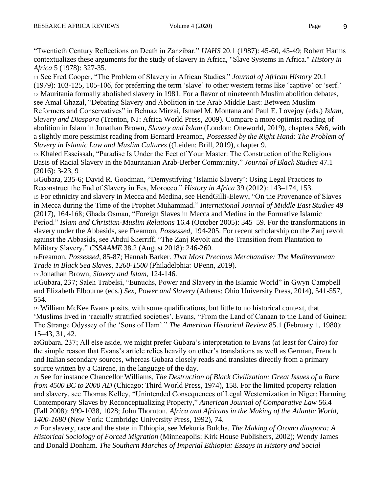"Twentieth Century Reflections on Death in Zanzibar." *IJAHS* 20.1 (1987): 45-60, 45-49; Robert Harms contextualizes these arguments for the study of slavery in Africa, "Slave Systems in Africa." *History in Africa* 5 (1978): 327-35.

<sup>11</sup> See Fred Cooper, "The Problem of Slavery in African Studies." *Journal of African History* 20.1 (1979): 103-125, 105-106, for preferring the term 'slave' to other western terms like 'captive' or 'serf.' <sup>12</sup> Mauritania formally abolished slavery in 1981. For a flavor of nineteenth Muslim abolition debates, see Amal Ghazal, "Debating Slavery and Abolition in the Arab Middle East: Between Muslim Reformers and Conservatives" in Behnaz Mirzai, Ismael M. Montana and Paul E. Lovejoy (eds.) *Islam, Slavery and Diaspora* (Trenton, NJ: Africa World Press, 2009). Compare a more optimist reading of abolition in Islam in Jonathan Brown, *Slavery and Islam* (London: Oneworld, 2019), chapters 5&6, with a slightly more pessimist reading from Bernard Freamon, *Possessed by the Right Hand: The Problem of Slavery in Islamic Law and Muslim Cultures* ((Leiden: Brill, 2019), chapter 9.

<sup>13</sup> Khaled Esseissah, "Paradise Is Under the Feet of Your Master: The Construction of the Religious Basis of Racial Slavery in the Mauritanian Arab-Berber Community." *Journal of Black Studies* 47.1 (2016): 3-23, 9

<sup>14</sup>Gubara, 235-6; David R. Goodman, "Demystifying 'Islamic Slavery': Using Legal Practices to Reconstruct the End of Slavery in Fes, Morocco." *History in Africa* 39 (2012): 143–174, 153.

<sup>15</sup> For ethnicity and slavery in Mecca and Medina, see HendGilli-Elewy, "On the Provenance of Slaves in Mecca during the Time of the Prophet Muhammad." *International Journal of Middle East Studies* 49 (2017), 164-168; Ghada Osman, "Foreign Slaves in Mecca and Medina in the Formative Islamic Period." *Islam and Christian-Muslim Relations* 16.4 (October 2005): 345–59. For the transformations in slavery under the Abbasids, see Freamon, *Possessed*, 194-205. For recent scholarship on the Zanj revolt against the Abbasids, see Abdul Sherriff, "The Zanj Revolt and the Transition from Plantation to Military Slavery." *CSSAAME* 38.2 (August 2018): 246-260.

<sup>16</sup>Freamon, *Possessed*, 85-87; Hannah Barker. *That Most Precious Merchandise: The Mediterranean Trade in Black Sea Slaves, 1260-1500* (Philadelphia: UPenn, 2019).

<sup>17</sup> Jonathan Brown, *Slavery and Islam*, 124-146.

<sup>18</sup>Gubara, 237; Saleh Trabelsi, "Eunuchs, Power and Slavery in the Islamic World" in Gwyn Campbell and Elizabeth Elbourne (eds.) *Sex, Power and Slavery* (Athens: Ohio University Press, 2014), 541-557, 554.

<sup>19</sup> William McKee Evans posits, with some qualifications, but little to no historical context, that 'Muslims lived in 'racially stratified societies'. Evans, "From the Land of Canaan to the Land of Guinea: The Strange Odyssey of the 'Sons of Ham'." *The American Historical Review* 85.1 (February 1, 1980): 15–43, 31, 42.

<sup>20</sup>Gubara, 237; All else aside, we might prefer Gubara's interpretation to Evans (at least for Cairo) for the simple reason that Evans's article relies heavily on other's translations as well as German, French and Italian secondary sources, whereas Gubara closely reads and translates directly from a primary source written by a Cairene, in the language of the day.

<sup>21</sup> See for instance Chancellor Williams, *The Destruction of Black Civilization: Great Issues of a Race from 4500 BC to 2000 AD* (Chicago: Third World Press, 1974), 158. For the limited property relation and slavery, see Thomas Kelley, "Unintended Consequences of Legal Westernization in Niger: Harming Contemporary Slaves by Reconceptualizing Property," *American Journal of Comparative Law* 56.4 (Fall 2008): 999-1038, 1028; John Thornton. *Africa and Africans in the Making of the Atlantic World, 1400-1680* (New York: Cambridge University Press, 1992), 74.

<sup>22</sup> For slavery, race and the state in Ethiopia, see Mekuria Bulcha. *The Making of Oromo diaspora: A Historical Sociology of Forced Migration* (Minneapolis: Kirk House Publishers, 2002); Wendy James and Donald Donham. *The Southern Marches of Imperial Ethiopia: Essays in History and Social*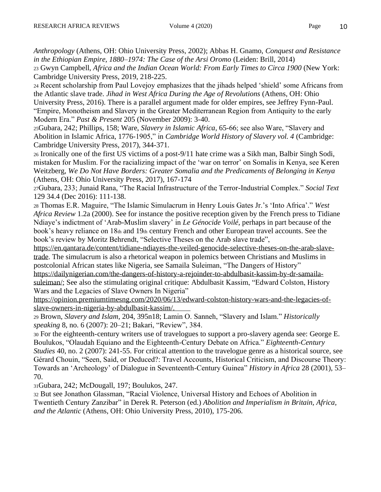*Anthropology* (Athens, OH: Ohio University Press, 2002); Abbas H. Gnamo, *Conquest and Resistance in the Ethiopian Empire, 1880–1974: The Case of the Arsi Oromo* (Leiden: Brill, 2014)

<sup>23</sup> Gwyn Campbell, *Africa and the Indian Ocean World: From Early Times to Circa 1900* (New York: Cambridge University Press, 2019, 218-225.

<sup>24</sup> Recent scholarship from Paul Lovejoy emphasizes that the jihads helped 'shield' some Africans from the Atlantic slave trade. *Jihad in West Africa During the Age of Revolutions* (Athens, OH: Ohio University Press, 2016). There is a parallel argument made for older empires, see Jeffrey Fynn-Paul. "Empire, Monotheism and Slavery in the Greater Mediterranean Region from Antiquity to the early

Modern Era." *Past & Present* 205 (November 2009): 3-40.

<sup>25</sup>Gubara, 242; Phillips, 158; Ware, *Slavery in Islamic Africa*, 65-66; see also Ware, "Slavery and Abolition in Islamic Africa, 1776-1905," in *Cambridge World History of Slavery vol. 4* (Cambridge: Cambridge University Press, 2017), 344-371.

<sup>26</sup> Ironically one of the first US victims of a post-9/11 hate crime was a Sikh man, Balbir Singh Sodi, mistaken for Muslim. For the racializing impact of the 'war on terror' on Somalis in Kenya, see Keren Weitzberg, *We Do Not Have Borders: Greater Somalia and the Predicaments of Belonging in Kenya* (Athens, OH: Ohio University Press, 2017), 167-174

<sup>27</sup>Gubara, 233; Junaid Rana, "The Racial Infrastructure of the Terror-Industrial Complex." *Social Text* 129 34.4 (Dec 2016): 111-138.

<sup>28</sup> Thomas E.R. Maguire, "The Islamic Simulacrum in Henry Louis Gates Jr.'s 'Into Africa'." *West Africa Review* 1.2a (2000). See for instance the positive reception given by the French press to Tidiane Ndiaye's indictment of 'Arab-Muslim slavery' in *Le Génocide Voilé*, perhaps in part because of the book's heavy reliance on 18th and 19th century French and other European travel accounts. See the book's review by Moritz Behrendt, "Selective Theses on the Arab slave trade",

[https://en.qantara.de/content/tidiane-ndiayes-the-veiled-genocide-selective-theses-on-the-arab-slave](https://en.qantara.de/content/tidiane-ndiayes-the-veiled-genocide-selective-theses-on-the-arab-slave-trade)[trade.](https://en.qantara.de/content/tidiane-ndiayes-the-veiled-genocide-selective-theses-on-the-arab-slave-trade) The simulacrum is also a rhetorical weapon in polemics between Christians and Muslims in postcolonial African states like Nigeria, see Samaila Suleiman, "The Dangers of History"

[https://dailynigerian.com/the-dangers-of-history-a-rejoinder-to-abdulbasit-kassim-by-dr-samaila](https://dailynigerian.com/the-dangers-of-history-a-rejoinder-to-abdulbasit-kassim-by-dr-samaila-suleiman/)[suleiman/;](https://dailynigerian.com/the-dangers-of-history-a-rejoinder-to-abdulbasit-kassim-by-dr-samaila-suleiman/) See also the stimulating original critique: Abdulbasit Kassim, "Edward Colston, History Wars and the Legacies of Slave Owners In Nigeria"

[https://opinion.premiumtimesng.com/2020/06/13/edward-colston-history-wars-and-the-legacies-of](https://opinion.premiumtimesng.com/2020/06/13/edward-colston-history-wars-and-the-legacies-of-slave-owners-in-nigeria-by-abdulbasit-kassim/)[slave-owners-in-nigeria-by-abdulbasit-kassim/.](https://opinion.premiumtimesng.com/2020/06/13/edward-colston-history-wars-and-the-legacies-of-slave-owners-in-nigeria-by-abdulbasit-kassim/)

<sup>29</sup> Brown, *Slavery and Islam*, 204, 395n18; Lamin O. Sanneh, "Slavery and Islam." *Historically speaking* 8, no. 6 (2007): 20–21; Bakari, "Review", 384.

<sup>30</sup> For the eighteenth-century writers use of travelogues to support a pro-slavery agenda see: George E. Boulukos, "Olaudah Equiano and the Eighteenth-Century Debate on Africa." *Eighteenth-Century Studies* 40, no. 2 (2007): 241-55. For critical attention to the travelogue genre as a historical source, see Gérard Chouin, "Seen, Said, or Deduced?: Travel Accounts, Historical Criticism, and Discourse Theory: Towards an 'Archeology' of Dialogue in Seventeenth-Century Guinea" *History in Africa* 28 (2001), 53– 70.

<sup>31</sup>Gubara, 242; McDougall, 197; Boulukos, 247.

<sup>32</sup> But see Jonathon Glassman, "Racial Violence, Universal History and Echoes of Abolition in Twentieth Century Zanzibar" in Derek R. Peterson (ed.) *Abolition and Imperialism in Britain, Africa, and the Atlantic* (Athens, OH: Ohio University Press, 2010), 175-206.